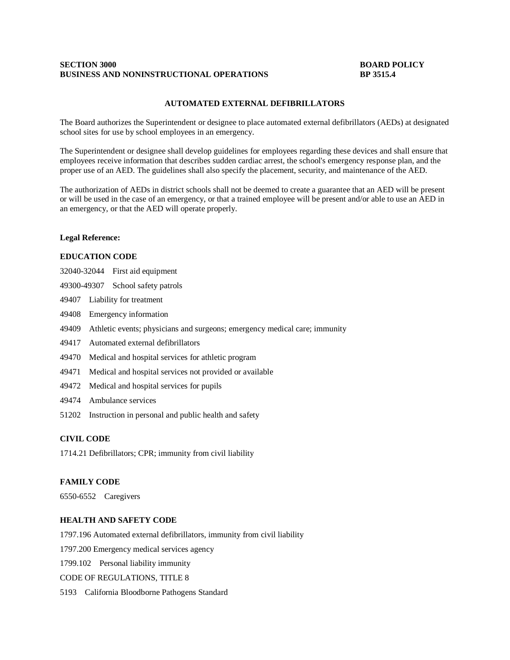### **SECTION 3000 BOARD POLICY BUSINESS AND NONINSTRUCTIONAL OPERATIONS BP 3515.4**

#### **AUTOMATED EXTERNAL DEFIBRILLATORS**

The Board authorizes the Superintendent or designee to place automated external defibrillators (AEDs) at designated school sites for use by school employees in an emergency.

The Superintendent or designee shall develop guidelines for employees regarding these devices and shall ensure that employees receive information that describes sudden cardiac arrest, the school's emergency response plan, and the proper use of an AED. The guidelines shall also specify the placement, security, and maintenance of the AED.

The authorization of AEDs in district schools shall not be deemed to create a guarantee that an AED will be present or will be used in the case of an emergency, or that a trained employee will be present and/or able to use an AED in an emergency, or that the AED will operate properly.

#### **Legal Reference:**

## **EDUCATION CODE**

- 32040-32044 First aid equipment
- 49300-49307 School safety patrols
- 49407 Liability for treatment
- 49408 Emergency information
- 49409 Athletic events; physicians and surgeons; emergency medical care; immunity
- 49417 Automated external defibrillators
- 49470 Medical and hospital services for athletic program
- 49471 Medical and hospital services not provided or available
- 49472 Medical and hospital services for pupils
- 49474 Ambulance services
- 51202 Instruction in personal and public health and safety

### **CIVIL CODE**

1714.21 Defibrillators; CPR; immunity from civil liability

#### **FAMILY CODE**

6550-6552 Caregivers

#### **HEALTH AND SAFETY CODE**

1797.196 Automated external defibrillators, immunity from civil liability

1797.200 Emergency medical services agency

1799.102 Personal liability immunity

CODE OF REGULATIONS, TITLE 8

5193 California Bloodborne Pathogens Standard